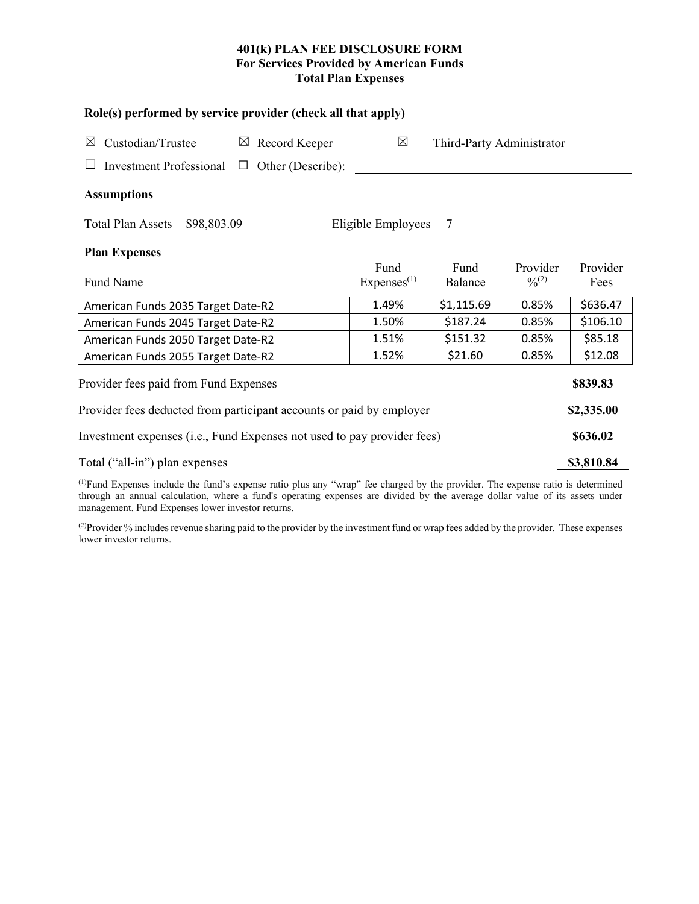# **401(k) PLAN FEE DISCLOSURE FORM For Services Provided by American Funds Total Plan Expenses**

**Role(s) performed by service provider (check all that apply)**

| Custodian/Trustee<br>$\boxtimes$                                        | Record Keeper<br>$\boxtimes$ | $\boxtimes$            | Third-Party Administrator |             |          |  |  |  |  |  |
|-------------------------------------------------------------------------|------------------------------|------------------------|---------------------------|-------------|----------|--|--|--|--|--|
| Investment Professional $\Box$ Other (Describe):                        |                              |                        |                           |             |          |  |  |  |  |  |
| <b>Assumptions</b>                                                      |                              |                        |                           |             |          |  |  |  |  |  |
| Eligible Employees 7<br>Total Plan Assets \$98,803.09                   |                              |                        |                           |             |          |  |  |  |  |  |
| <b>Plan Expenses</b>                                                    |                              |                        |                           |             |          |  |  |  |  |  |
|                                                                         |                              | Fund                   | Fund                      | Provider    | Provider |  |  |  |  |  |
| Fund Name                                                               |                              | Express <sup>(1)</sup> | Balance                   | $0/0^{(2)}$ | Fees     |  |  |  |  |  |
| American Funds 2035 Target Date-R2                                      | 1.49%                        | \$1,115.69             | 0.85%                     | \$636.47    |          |  |  |  |  |  |
| American Funds 2045 Target Date-R2                                      | 1.50%                        | \$187.24               | 0.85%                     | \$106.10    |          |  |  |  |  |  |
| American Funds 2050 Target Date-R2                                      | 1.51%                        | \$151.32               | 0.85%                     | \$85.18     |          |  |  |  |  |  |
| American Funds 2055 Target Date-R2                                      | 1.52%                        | \$21.60                | 0.85%                     | \$12.08     |          |  |  |  |  |  |
| Provider fees paid from Fund Expenses                                   |                              |                        |                           |             |          |  |  |  |  |  |
| Provider fees deducted from participant accounts or paid by employer    |                              |                        |                           |             |          |  |  |  |  |  |
| Investment expenses (i.e., Fund Expenses not used to pay provider fees) |                              |                        |                           |             |          |  |  |  |  |  |
| Total ("all-in") plan expenses                                          |                              |                        |                           |             |          |  |  |  |  |  |
|                                                                         |                              |                        |                           |             |          |  |  |  |  |  |

(1) Fund Expenses include the fund's expense ratio plus any "wrap" fee charged by the provider. The expense ratio is determined through an annual calculation, where a fund's operating expenses are divided by the average dollar value of its assets under management. Fund Expenses lower investor returns.

(2) Provider % includes revenue sharing paid to the provider by the investment fund or wrap fees added by the provider. These expenses lower investor returns.